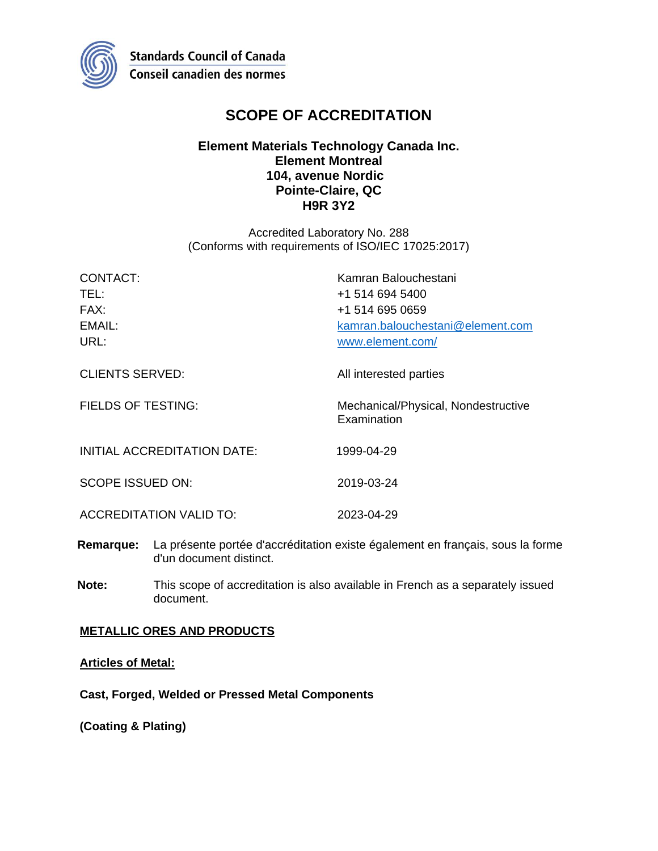

# **SCOPE OF ACCREDITATION**

## **Element Materials Technology Canada Inc. Element Montreal 104, avenue Nordic Pointe-Claire, QC H9R 3Y2**

Accredited Laboratory No. 288 (Conforms with requirements of ISO/IEC 17025:2017)

| CONTACT:                       | Kamran Balouchestani                               |
|--------------------------------|----------------------------------------------------|
| TEL:                           | +1 514 694 5400                                    |
| FAX:                           | +1 514 695 0659                                    |
| EMAIL:                         | kamran.balouchestani@element.com                   |
| URL:                           | www.element.com/                                   |
| <b>CLIENTS SERVED:</b>         | All interested parties                             |
| <b>FIELDS OF TESTING:</b>      | Mechanical/Physical, Nondestructive<br>Examination |
| INITIAL ACCREDITATION DATE:    | 1999-04-29                                         |
| <b>SCOPE ISSUED ON:</b>        | 2019-03-24                                         |
| <b>ACCREDITATION VALID TO:</b> | 2023-04-29                                         |

- **Remarque:** La présente portée d'accréditation existe également en français, sous la forme d'un document distinct.
- **Note:** This scope of accreditation is also available in French as a separately issued document.

## **METALLIC ORES AND PRODUCTS**

## **Articles of Metal:**

**Cast, Forged, Welded or Pressed Metal Components**

**(Coating & Plating)**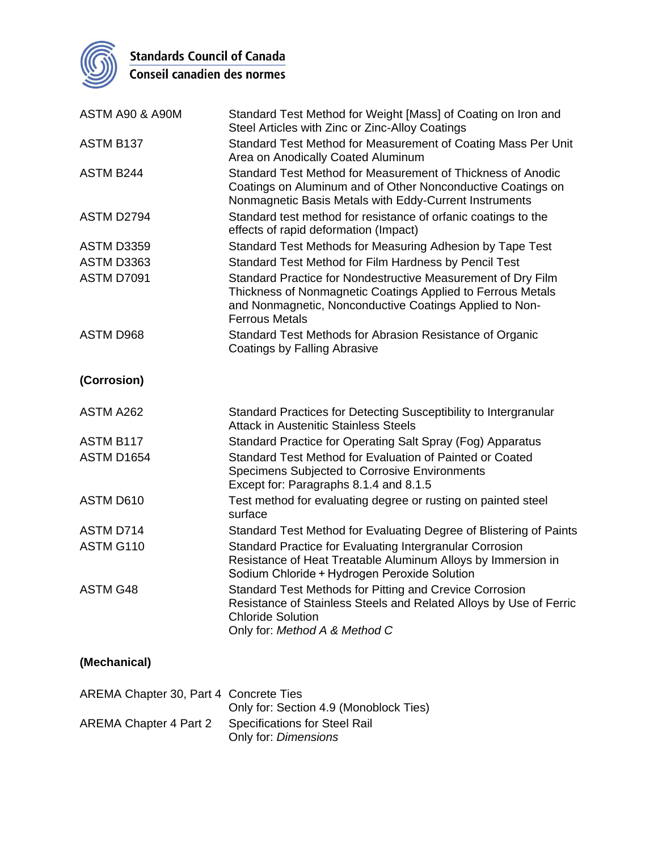

Standards Council of Canada<br>Conseil canadien des normes

| ASTM A90 & A90M   | Standard Test Method for Weight [Mass] of Coating on Iron and<br>Steel Articles with Zinc or Zinc-Alloy Coatings                                                                                                |
|-------------------|-----------------------------------------------------------------------------------------------------------------------------------------------------------------------------------------------------------------|
| ASTM B137         | Standard Test Method for Measurement of Coating Mass Per Unit<br>Area on Anodically Coated Aluminum                                                                                                             |
| ASTM B244         | Standard Test Method for Measurement of Thickness of Anodic<br>Coatings on Aluminum and of Other Nonconductive Coatings on<br>Nonmagnetic Basis Metals with Eddy-Current Instruments                            |
| ASTM D2794        | Standard test method for resistance of orfanic coatings to the<br>effects of rapid deformation (Impact)                                                                                                         |
| <b>ASTM D3359</b> | Standard Test Methods for Measuring Adhesion by Tape Test                                                                                                                                                       |
| <b>ASTM D3363</b> | Standard Test Method for Film Hardness by Pencil Test                                                                                                                                                           |
| <b>ASTM D7091</b> | Standard Practice for Nondestructive Measurement of Dry Film<br>Thickness of Nonmagnetic Coatings Applied to Ferrous Metals<br>and Nonmagnetic, Nonconductive Coatings Applied to Non-<br><b>Ferrous Metals</b> |
| ASTM D968         | Standard Test Methods for Abrasion Resistance of Organic<br><b>Coatings by Falling Abrasive</b>                                                                                                                 |
| (Corrosion)       |                                                                                                                                                                                                                 |
| ASTM A262         | Standard Practices for Detecting Susceptibility to Intergranular<br><b>Attack in Austenitic Stainless Steels</b>                                                                                                |
| ASTM B117         | Standard Practice for Operating Salt Spray (Fog) Apparatus                                                                                                                                                      |
| ASTM D1654        | Standard Test Method for Evaluation of Painted or Coated<br>Specimens Subjected to Corrosive Environments<br>Except for: Paragraphs 8.1.4 and 8.1.5                                                             |
| ASTM D610         | Test method for evaluating degree or rusting on painted steel<br>surface                                                                                                                                        |
| ASTM D714         | Standard Test Method for Evaluating Degree of Blistering of Paints                                                                                                                                              |
| ASTM G110         | Standard Practice for Evaluating Intergranular Corrosion<br>Resistance of Heat Treatable Aluminum Alloys by Immersion in<br>Sodium Chloride + Hydrogen Peroxide Solution                                        |
| <b>ASTM G48</b>   | Standard Test Methods for Pitting and Crevice Corrosion                                                                                                                                                         |

## **(Mechanical)**

| AREMA Chapter 30, Part 4 Concrete Ties | Only for: Section 4.9 (Monoblock Ties)                       |
|----------------------------------------|--------------------------------------------------------------|
| AREMA Chapter 4 Part 2                 | <b>Specifications for Steel Rail</b><br>Only for: Dimensions |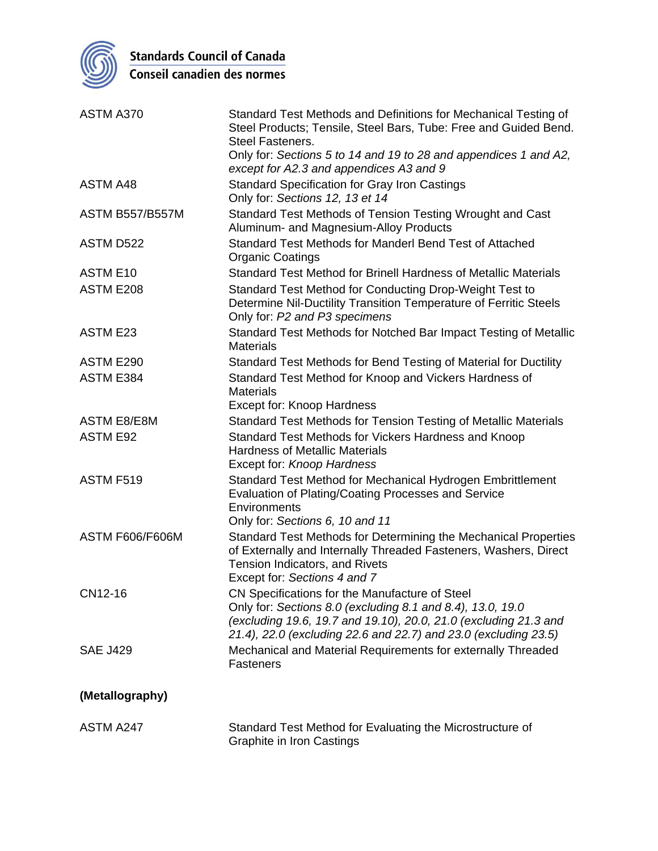

**Standards Council of Canada**<br>Conseil canadien des normes

| ASTM A370              | Standard Test Methods and Definitions for Mechanical Testing of<br>Steel Products; Tensile, Steel Bars, Tube: Free and Guided Bend.<br><b>Steel Fasteners.</b>                                                                                      |
|------------------------|-----------------------------------------------------------------------------------------------------------------------------------------------------------------------------------------------------------------------------------------------------|
|                        | Only for: Sections 5 to 14 and 19 to 28 and appendices 1 and A2,<br>except for A2.3 and appendices A3 and 9                                                                                                                                         |
| <b>ASTM A48</b>        | <b>Standard Specification for Gray Iron Castings</b><br>Only for: Sections 12, 13 et 14                                                                                                                                                             |
| <b>ASTM B557/B557M</b> | Standard Test Methods of Tension Testing Wrought and Cast<br>Aluminum- and Magnesium-Alloy Products                                                                                                                                                 |
| ASTM D522              | Standard Test Methods for Manderl Bend Test of Attached<br><b>Organic Coatings</b>                                                                                                                                                                  |
| <b>ASTM E10</b>        | Standard Test Method for Brinell Hardness of Metallic Materials                                                                                                                                                                                     |
| ASTM E208              | Standard Test Method for Conducting Drop-Weight Test to<br>Determine Nil-Ductility Transition Temperature of Ferritic Steels<br>Only for: P2 and P3 specimens                                                                                       |
| <b>ASTM E23</b>        | Standard Test Methods for Notched Bar Impact Testing of Metallic<br><b>Materials</b>                                                                                                                                                                |
| ASTM E290              | Standard Test Methods for Bend Testing of Material for Ductility                                                                                                                                                                                    |
| ASTM E384              | Standard Test Method for Knoop and Vickers Hardness of<br><b>Materials</b><br><b>Except for: Knoop Hardness</b>                                                                                                                                     |
| <b>ASTM E8/E8M</b>     | Standard Test Methods for Tension Testing of Metallic Materials                                                                                                                                                                                     |
| <b>ASTM E92</b>        | Standard Test Methods for Vickers Hardness and Knoop<br><b>Hardness of Metallic Materials</b><br>Except for: Knoop Hardness                                                                                                                         |
| ASTM F519              | Standard Test Method for Mechanical Hydrogen Embrittlement<br>Evaluation of Plating/Coating Processes and Service<br>Environments<br>Only for: Sections 6, 10 and 11                                                                                |
| <b>ASTM F606/F606M</b> | Standard Test Methods for Determining the Mechanical Properties<br>of Externally and Internally Threaded Fasteners, Washers, Direct<br>Tension Indicators, and Rivets<br>Except for: Sections 4 and 7                                               |
| CN12-16                | CN Specifications for the Manufacture of Steel<br>Only for: Sections 8.0 (excluding 8.1 and 8.4), 13.0, 19.0<br>(excluding 19.6, 19.7 and 19.10), 20.0, 21.0 (excluding 21.3 and<br>21.4), 22.0 (excluding 22.6 and 22.7) and 23.0 (excluding 23.5) |
| <b>SAE J429</b>        | Mechanical and Material Requirements for externally Threaded<br><b>Fasteners</b>                                                                                                                                                                    |
| (Metallography)        |                                                                                                                                                                                                                                                     |
| ASTM A247              | Standard Test Method for Evaluating the Microstructure of<br>Graphite in Iron Castings                                                                                                                                                              |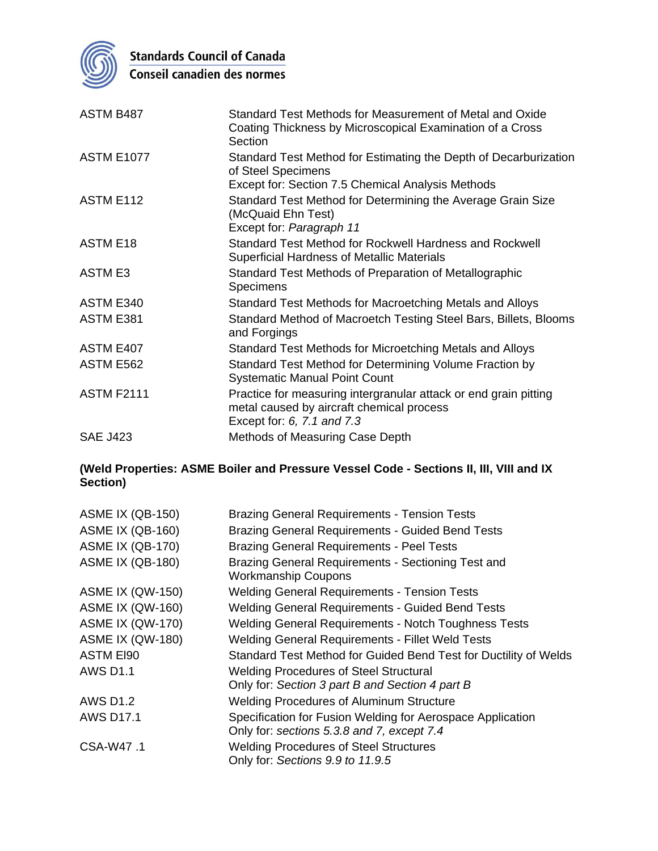

**Standards Council of Canada**<br>Conseil canadien des normes

| ASTM B487         | Standard Test Methods for Measurement of Metal and Oxide<br>Coating Thickness by Microscopical Examination of a Cross<br>Section            |
|-------------------|---------------------------------------------------------------------------------------------------------------------------------------------|
| <b>ASTM E1077</b> | Standard Test Method for Estimating the Depth of Decarburization<br>of Steel Specimens<br>Except for: Section 7.5 Chemical Analysis Methods |
| ASTM E112         | Standard Test Method for Determining the Average Grain Size<br>(McQuaid Ehn Test)<br>Except for: Paragraph 11                               |
| <b>ASTM E18</b>   | Standard Test Method for Rockwell Hardness and Rockwell<br>Superficial Hardness of Metallic Materials                                       |
| <b>ASTM E3</b>    | Standard Test Methods of Preparation of Metallographic<br>Specimens                                                                         |
| ASTM E340         | Standard Test Methods for Macroetching Metals and Alloys                                                                                    |
| ASTM E381         | Standard Method of Macroetch Testing Steel Bars, Billets, Blooms<br>and Forgings                                                            |
| ASTM E407         | Standard Test Methods for Microetching Metals and Alloys                                                                                    |
| ASTM E562         | Standard Test Method for Determining Volume Fraction by<br><b>Systematic Manual Point Count</b>                                             |
| <b>ASTM F2111</b> | Practice for measuring intergranular attack or end grain pitting<br>metal caused by aircraft chemical process<br>Except for: 6, 7.1 and 7.3 |
| <b>SAE J423</b>   | Methods of Measuring Case Depth                                                                                                             |

## **(Weld Properties: ASME Boiler and Pressure Vessel Code - Sections II, III, VIII and IX Section)**

| <b>ASME IX (QB-150)</b> | <b>Brazing General Requirements - Tension Tests</b>                              |
|-------------------------|----------------------------------------------------------------------------------|
| <b>ASME IX (QB-160)</b> | <b>Brazing General Requirements - Guided Bend Tests</b>                          |
| <b>ASME IX (QB-170)</b> | <b>Brazing General Requirements - Peel Tests</b>                                 |
| <b>ASME IX (QB-180)</b> | Brazing General Requirements - Sectioning Test and<br><b>Workmanship Coupons</b> |
| <b>ASME IX (QW-150)</b> | <b>Welding General Requirements - Tension Tests</b>                              |
| <b>ASME IX (QW-160)</b> | <b>Welding General Requirements - Guided Bend Tests</b>                          |
| <b>ASME IX (QW-170)</b> | <b>Welding General Requirements - Notch Toughness Tests</b>                      |
| <b>ASME IX (QW-180)</b> | <b>Welding General Requirements - Fillet Weld Tests</b>                          |
| <b>ASTM EI90</b>        | Standard Test Method for Guided Bend Test for Ductility of Welds                 |
| <b>AWS D1.1</b>         | <b>Welding Procedures of Steel Structural</b>                                    |
|                         | Only for: Section 3 part B and Section 4 part B                                  |
| <b>AWS D1.2</b>         | <b>Welding Procedures of Aluminum Structure</b>                                  |
| <b>AWS D17.1</b>        | Specification for Fusion Welding for Aerospace Application                       |
|                         | Only for: sections 5.3.8 and 7, except 7.4                                       |
| CSA-W47.1               | <b>Welding Procedures of Steel Structures</b>                                    |
|                         | Only for: Sections 9.9 to 11.9.5                                                 |